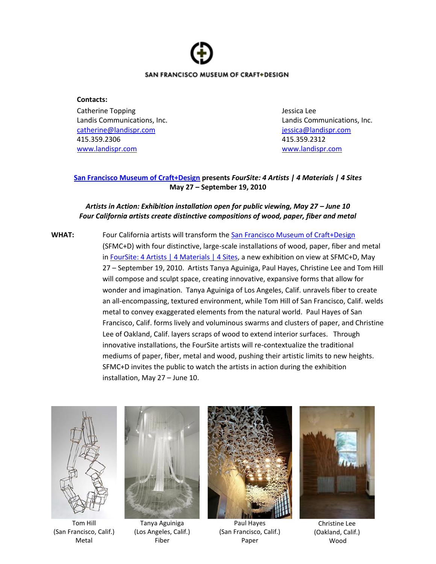

## **Contacts:**

Catherine Topping Jessica Lee Landis Communications, Inc. Landis Communications, Inc. [catherine@landispr.com](mailto:catherine@landispr.com) [jessica@landispr.com](mailto:jessica@landispr.com) 415.359.2306 415.359.2312 [www.landispr.com](http://www.landispr.com/) [www.landispr.com](http://www.landispr.com/)

## **[San Francisco Museum of Craft+Design](file:///C:/Documents%20and%20Settings/jessica/Local%20Settings/Temporary%20Internet%20Files/Content.Outlook/5PQ6G667/SFMCD.org) presents** *FourSite: 4 Artists | 4 Materials | 4 Sites* **May 27 – September 19, 2010**

## *Artists in Action: Exhibition installation open for public viewing, May 27 – June 10 Four California artists create distinctive compositions of wood, paper, fiber and metal*

WHAT: Four California artists will transform the [San Francisco Museum of Craft+Design](http://www.sfmcd.org/) (SFMC+D) with four distinctive, large-scale installations of wood, paper, fiber and metal in [FourSite: 4 Artists | 4 Materials | 4 Sites,](http://www.sfmcd.org/exhibt_next.htm) a new exhibition on view at SFMC+D, May 27 – September 19, 2010. Artists Tanya Aguiniga, Paul Hayes, Christine Lee and Tom Hill will compose and sculpt space, creating innovative, expansive forms that allow for wonder and imagination. Tanya Aguiniga of Los Angeles, Calif. unravels fiber to create an all-encompassing, textured environment, while Tom Hill of San Francisco, Calif. welds metal to convey exaggerated elements from the natural world. Paul Hayes of San Francisco, Calif. forms lively and voluminous swarms and clusters of paper, and Christine Lee of Oakland, Calif. layers scraps of wood to extend interior surfaces. Through innovative installations, the FourSite artists will re-contextualize the traditional mediums of paper, fiber, metal and wood, pushing their artistic limits to new heights. SFMC+D invites the public to watch the artists in action during the exhibition installation, May 27 – June 10.



Tom Hill (San Francisco, Calif.) Metal



Tanya Aguiniga (Los Angeles, Calif.) Fiber



Paul Hayes (San Francisco, Calif.) Paper



Christine Lee (Oakland, Calif.) Wood